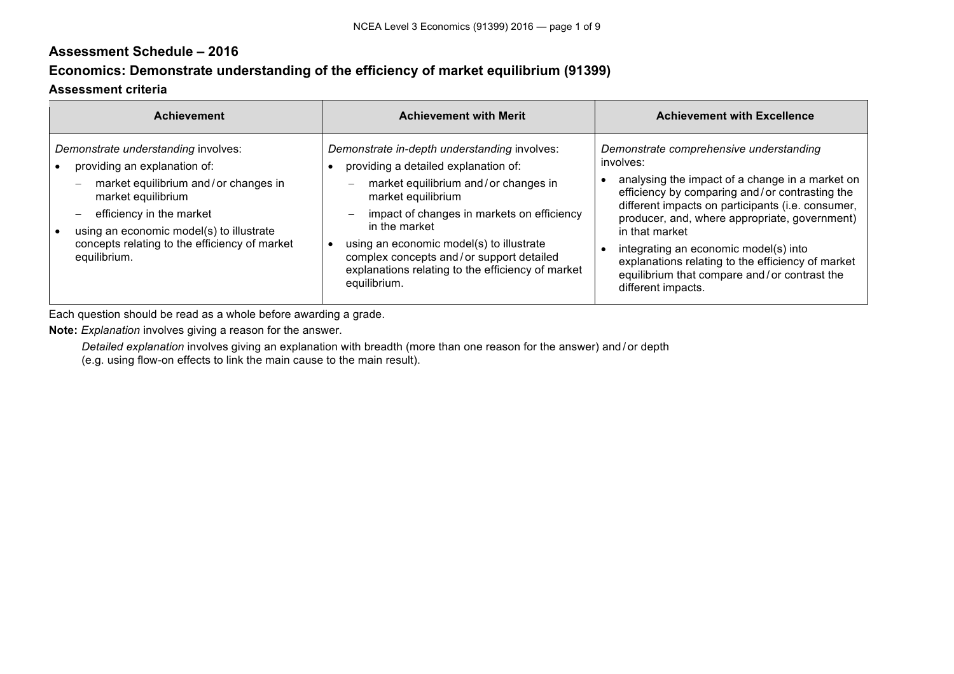## **Assessment Schedule – 2016**

## **Economics: Demonstrate understanding of the efficiency of market equilibrium (91399)**

## **Assessment criteria**

 $\sim$ 

| <b>Achievement</b>                                                                                                                                                                                                                                                         | <b>Achievement with Merit</b>                                                                                                                                                                                                                                                                                                                                                                              | <b>Achievement with Excellence</b>                                                                                                                                                                                                                                                                                                                                                                                                                    |
|----------------------------------------------------------------------------------------------------------------------------------------------------------------------------------------------------------------------------------------------------------------------------|------------------------------------------------------------------------------------------------------------------------------------------------------------------------------------------------------------------------------------------------------------------------------------------------------------------------------------------------------------------------------------------------------------|-------------------------------------------------------------------------------------------------------------------------------------------------------------------------------------------------------------------------------------------------------------------------------------------------------------------------------------------------------------------------------------------------------------------------------------------------------|
| Demonstrate understanding involves:<br>providing an explanation of:<br>market equilibrium and/or changes in<br>market equilibrium<br>efficiency in the market<br>using an economic model(s) to illustrate<br>concepts relating to the efficiency of market<br>equilibrium. | Demonstrate in-depth understanding involves:<br>providing a detailed explanation of:<br>market equilibrium and/or changes in<br>$\overline{\phantom{0}}$<br>market equilibrium<br>impact of changes in markets on efficiency<br>in the market<br>using an economic model(s) to illustrate<br>complex concepts and/or support detailed<br>explanations relating to the efficiency of market<br>equilibrium. | Demonstrate comprehensive understanding<br>involves:<br>analysing the impact of a change in a market on<br>efficiency by comparing and/or contrasting the<br>different impacts on participants (i.e. consumer,<br>producer, and, where appropriate, government)<br>in that market<br>integrating an economic model(s) into<br>explanations relating to the efficiency of market<br>equilibrium that compare and/or contrast the<br>different impacts. |

Each question should be read as a whole before awarding a grade.

**Note:** *Explanation* involves giving a reason for the answer.

*Detailed explanation* involves giving an explanation with breadth (more than one reason for the answer) and / or depth

(e.g. using flow-on effects to link the main cause to the main result).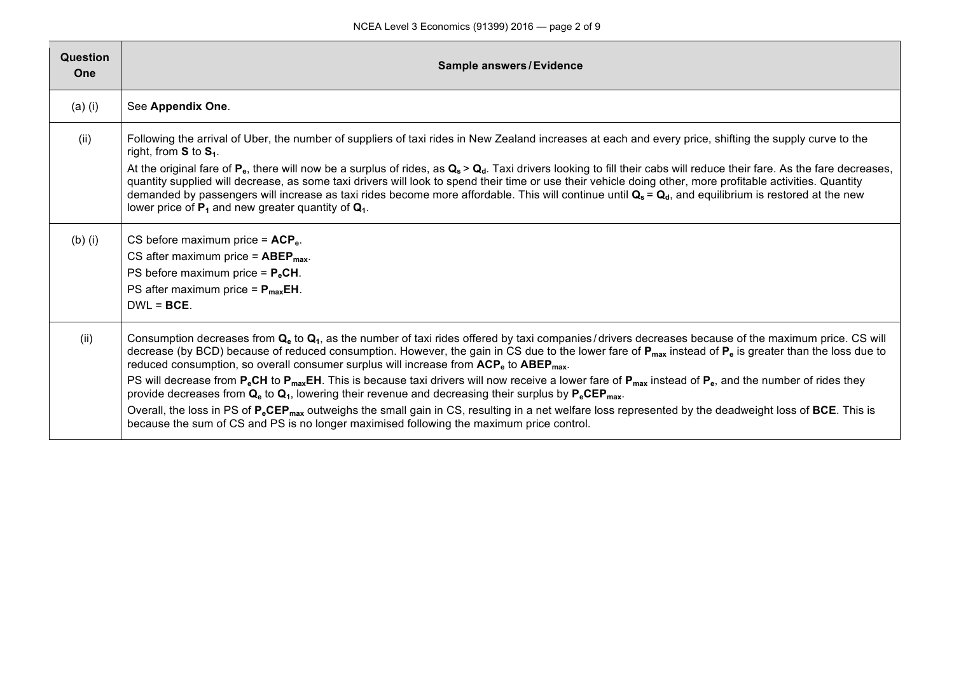| Question<br>One | <b>Sample answers/Evidence</b>                                                                                                                                                                                                                                                                                                                                                                                                                                                                                                                                                                                                                                                                                                                                                                                                                                                                                                                                                                                                    |
|-----------------|-----------------------------------------------------------------------------------------------------------------------------------------------------------------------------------------------------------------------------------------------------------------------------------------------------------------------------------------------------------------------------------------------------------------------------------------------------------------------------------------------------------------------------------------------------------------------------------------------------------------------------------------------------------------------------------------------------------------------------------------------------------------------------------------------------------------------------------------------------------------------------------------------------------------------------------------------------------------------------------------------------------------------------------|
| $(a)$ (i)       | See Appendix One.                                                                                                                                                                                                                                                                                                                                                                                                                                                                                                                                                                                                                                                                                                                                                                                                                                                                                                                                                                                                                 |
| (ii)            | Following the arrival of Uber, the number of suppliers of taxi rides in New Zealand increases at each and every price, shifting the supply curve to the<br>right, from $S$ to $S_1$ .<br>At the original fare of $P_e$ , there will now be a surplus of rides, as $Q_s > Q_d$ . Taxi drivers looking to fill their cabs will reduce their fare. As the fare decreases,<br>quantity supplied will decrease, as some taxi drivers will look to spend their time or use their vehicle doing other, more profitable activities. Quantity<br>demanded by passengers will increase as taxi rides become more affordable. This will continue until $Q_s = Q_d$ , and equilibrium is restored at the new<br>lower price of $P_1$ and new greater quantity of $Q_1$ .                                                                                                                                                                                                                                                                      |
| $(b)$ (i)       | CS before maximum price = $ACP_e$ .<br>CS after maximum price = $ABEP_{max}$ .<br>PS before maximum price = $P_eCH$ .<br>PS after maximum price = $P_{max}EH$ .<br>$DWL = BCE$ .                                                                                                                                                                                                                                                                                                                                                                                                                                                                                                                                                                                                                                                                                                                                                                                                                                                  |
| (ii)            | Consumption decreases from $Q_e$ to $Q_1$ , as the number of taxi rides offered by taxi companies/drivers decreases because of the maximum price. CS will<br>decrease (by BCD) because of reduced consumption. However, the gain in CS due to the lower fare of $P_{max}$ instead of $P_e$ is greater than the loss due to<br>reduced consumption, so overall consumer surplus will increase from ACP <sub>e</sub> to ABEP <sub>max</sub> .<br>PS will decrease from $P_eCH$ to $P_{max}CH$ . This is because taxi drivers will now receive a lower fare of $P_{max}$ instead of $P_e$ , and the number of rides they<br>provide decreases from $Q_e$ to $Q_1$ , lowering their revenue and decreasing their surplus by $P_e$ CEP <sub>max</sub> .<br>Overall, the loss in PS of P <sub>e</sub> CEP <sub>max</sub> outweighs the small gain in CS, resulting in a net welfare loss represented by the deadweight loss of BCE. This is<br>because the sum of CS and PS is no longer maximised following the maximum price control. |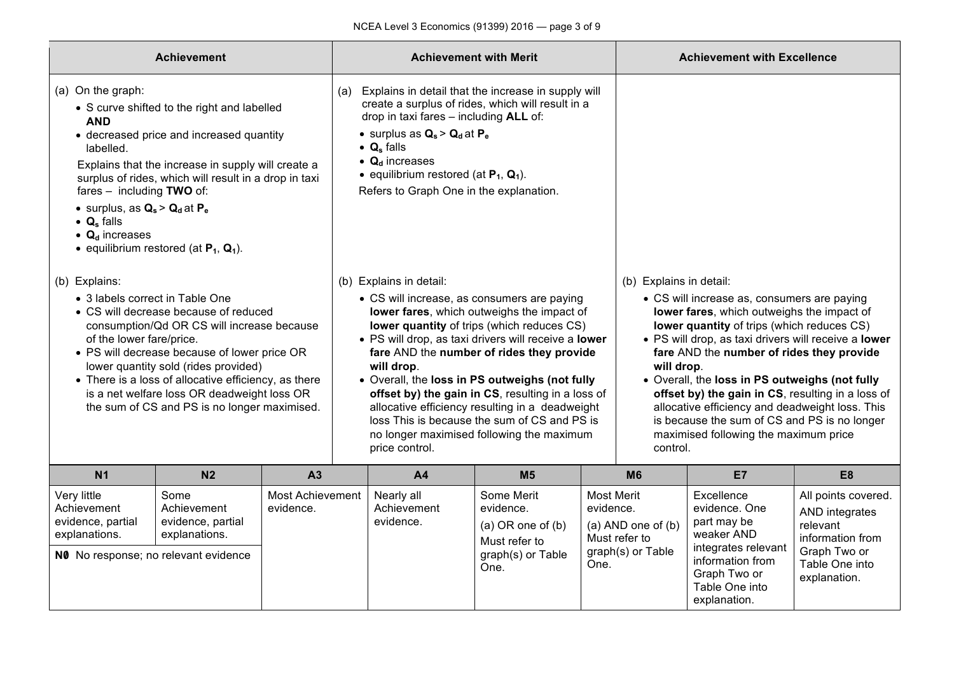| <b>Achievement</b>                                                                                                                                                                                                                                                                                                                                                                                                 |                                                                                                                                                                                                                                                       |                |                                        |                                                                                                                                                                                                                                               | <b>Achievement with Merit</b>                                                                                                                                                                                                                                                                                                                                                                                                                                                                       |                                                              |                                                                                                                                                       | <b>Achievement with Excellence</b>                                                                                                                                                                                                                                                                                                                                                                                                                                                              |                |
|--------------------------------------------------------------------------------------------------------------------------------------------------------------------------------------------------------------------------------------------------------------------------------------------------------------------------------------------------------------------------------------------------------------------|-------------------------------------------------------------------------------------------------------------------------------------------------------------------------------------------------------------------------------------------------------|----------------|----------------------------------------|-----------------------------------------------------------------------------------------------------------------------------------------------------------------------------------------------------------------------------------------------|-----------------------------------------------------------------------------------------------------------------------------------------------------------------------------------------------------------------------------------------------------------------------------------------------------------------------------------------------------------------------------------------------------------------------------------------------------------------------------------------------------|--------------------------------------------------------------|-------------------------------------------------------------------------------------------------------------------------------------------------------|-------------------------------------------------------------------------------------------------------------------------------------------------------------------------------------------------------------------------------------------------------------------------------------------------------------------------------------------------------------------------------------------------------------------------------------------------------------------------------------------------|----------------|
| (a) On the graph:<br><b>AND</b><br>labelled.<br>fares - including TWO of:<br>• surplus, as $Q_s > Q_d$ at $P_e$<br>$\bullet$ Q <sub>s</sub> falls<br>$\bullet$ Q <sub>d</sub> increases                                                                                                                                                                                                                            | • S curve shifted to the right and labelled<br>• decreased price and increased quantity<br>Explains that the increase in supply will create a<br>surplus of rides, which will result in a drop in taxi<br>• equilibrium restored (at $P_1$ , $Q_1$ ). |                | (a)                                    | drop in taxi fares - including ALL of:<br>• surplus as $Q_s > Q_d$ at $P_e$<br>$\bullet$ Q <sub>s</sub> falls<br>$\bullet$ Q <sub>d</sub> increases<br>• equilibrium restored (at $P_1$ , $Q_1$ ).<br>Refers to Graph One in the explanation. | Explains in detail that the increase in supply will<br>create a surplus of rides, which will result in a                                                                                                                                                                                                                                                                                                                                                                                            |                                                              |                                                                                                                                                       |                                                                                                                                                                                                                                                                                                                                                                                                                                                                                                 |                |
| (b) Explains:<br>• 3 labels correct in Table One<br>• CS will decrease because of reduced<br>consumption/Qd OR CS will increase because<br>of the lower fare/price.<br>• PS will decrease because of lower price OR<br>lower quantity sold (rides provided)<br>• There is a loss of allocative efficiency, as there<br>is a net welfare loss OR deadweight loss OR<br>the sum of CS and PS is no longer maximised. |                                                                                                                                                                                                                                                       |                |                                        | (b) Explains in detail:<br>will drop.<br>price control.                                                                                                                                                                                       | • CS will increase, as consumers are paying<br>lower fares, which outweighs the impact of<br>lower quantity of trips (which reduces CS)<br>· PS will drop, as taxi drivers will receive a lower<br>fare AND the number of rides they provide<br>. Overall, the loss in PS outweighs (not fully<br>offset by) the gain in CS, resulting in a loss of<br>allocative efficiency resulting in a deadweight<br>loss This is because the sum of CS and PS is<br>no longer maximised following the maximum |                                                              | (b) Explains in detail:<br>will drop.<br>control.                                                                                                     | • CS will increase as, consumers are paying<br>lower fares, which outweighs the impact of<br>lower quantity of trips (which reduces CS)<br>• PS will drop, as taxi drivers will receive a lower<br>fare AND the number of rides they provide<br>• Overall, the loss in PS outweighs (not fully<br>offset by) the gain in CS, resulting in a loss of<br>allocative efficiency and deadweight loss. This<br>is because the sum of CS and PS is no longer<br>maximised following the maximum price |                |
| N <sub>1</sub>                                                                                                                                                                                                                                                                                                                                                                                                     | N <sub>2</sub>                                                                                                                                                                                                                                        | A <sub>3</sub> |                                        | A <sub>4</sub>                                                                                                                                                                                                                                | M <sub>5</sub>                                                                                                                                                                                                                                                                                                                                                                                                                                                                                      |                                                              | <b>M6</b>                                                                                                                                             | <b>E7</b>                                                                                                                                                                                                                                                                                                                                                                                                                                                                                       | E <sub>8</sub> |
| <b>Most Achievement</b><br>Very little<br>Some<br>Achievement<br>Achievement<br>evidence.<br>evidence, partial<br>evidence, partial<br>explanations.<br>explanations.<br>NO No response; no relevant evidence                                                                                                                                                                                                      |                                                                                                                                                                                                                                                       |                | Nearly all<br>Achievement<br>evidence. | Some Merit<br>evidence.<br>(a) $OR$ one of $(b)$<br>Must refer to<br>graph(s) or Table<br>One.                                                                                                                                                | <b>Most Merit</b><br>evidence.<br>One.                                                                                                                                                                                                                                                                                                                                                                                                                                                              | $(a)$ AND one of $(b)$<br>Must refer to<br>graph(s) or Table | Excellence<br>evidence. One<br>part may be<br>weaker AND<br>integrates relevant<br>information from<br>Graph Two or<br>Table One into<br>explanation. | All points covered.<br>AND integrates<br>relevant<br>information from<br>Graph Two or<br>Table One into<br>explanation.                                                                                                                                                                                                                                                                                                                                                                         |                |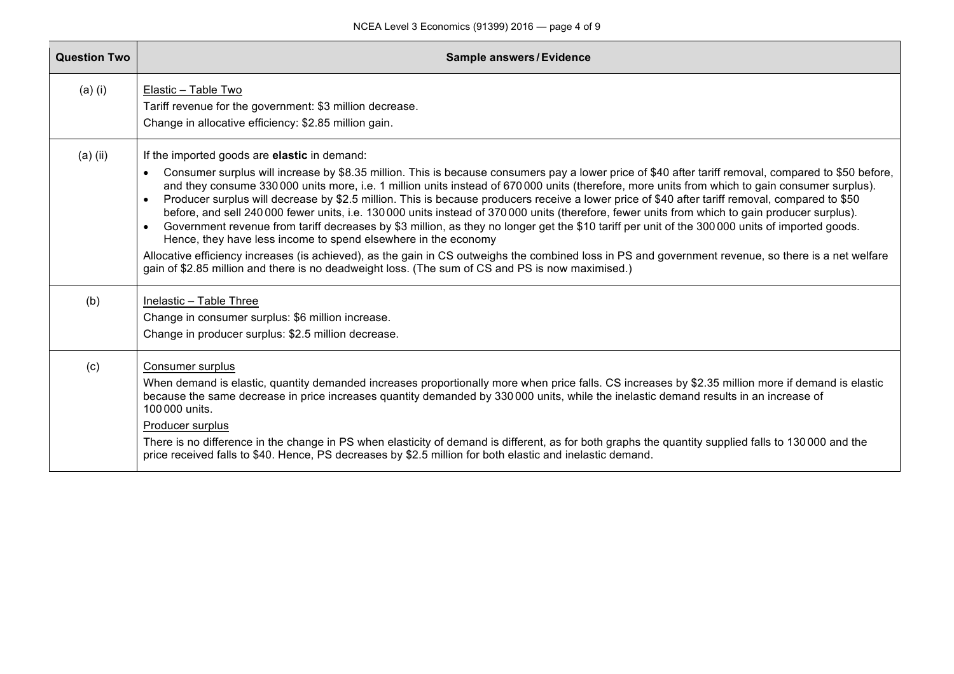| <b>Question Two</b> | <b>Sample answers/Evidence</b>                                                                                                                                                                                                                                                                                                                                                                                                                                                                                                                                                                                                                                                                                                                                                                                                                                                                                                                                                                                                                                                                                                                                        |
|---------------------|-----------------------------------------------------------------------------------------------------------------------------------------------------------------------------------------------------------------------------------------------------------------------------------------------------------------------------------------------------------------------------------------------------------------------------------------------------------------------------------------------------------------------------------------------------------------------------------------------------------------------------------------------------------------------------------------------------------------------------------------------------------------------------------------------------------------------------------------------------------------------------------------------------------------------------------------------------------------------------------------------------------------------------------------------------------------------------------------------------------------------------------------------------------------------|
| $(a)$ $(i)$         | Elastic - Table Two<br>Tariff revenue for the government: \$3 million decrease.<br>Change in allocative efficiency: \$2.85 million gain.                                                                                                                                                                                                                                                                                                                                                                                                                                                                                                                                                                                                                                                                                                                                                                                                                                                                                                                                                                                                                              |
| $(a)$ (ii)          | If the imported goods are elastic in demand:<br>Consumer surplus will increase by \$8.35 million. This is because consumers pay a lower price of \$40 after tariff removal, compared to \$50 before,<br>$\bullet$<br>and they consume 330000 units more, i.e. 1 million units instead of 670000 units (therefore, more units from which to gain consumer surplus).<br>Producer surplus will decrease by \$2.5 million. This is because producers receive a lower price of \$40 after tariff removal, compared to \$50<br>before, and sell 240 000 fewer units, i.e. 130 000 units instead of 370 000 units (therefore, fewer units from which to gain producer surplus).<br>Government revenue from tariff decreases by \$3 million, as they no longer get the \$10 tariff per unit of the 300000 units of imported goods.<br>$\bullet$<br>Hence, they have less income to spend elsewhere in the economy<br>Allocative efficiency increases (is achieved), as the gain in CS outweighs the combined loss in PS and government revenue, so there is a net welfare<br>gain of \$2.85 million and there is no deadweight loss. (The sum of CS and PS is now maximised.) |
| (b)                 | Inelastic - Table Three<br>Change in consumer surplus: \$6 million increase.<br>Change in producer surplus: \$2.5 million decrease.                                                                                                                                                                                                                                                                                                                                                                                                                                                                                                                                                                                                                                                                                                                                                                                                                                                                                                                                                                                                                                   |
| (c)                 | Consumer surplus<br>When demand is elastic, quantity demanded increases proportionally more when price falls. CS increases by \$2.35 million more if demand is elastic<br>because the same decrease in price increases quantity demanded by 330000 units, while the inelastic demand results in an increase of<br>100000 units.<br>Producer surplus<br>There is no difference in the change in PS when elasticity of demand is different, as for both graphs the quantity supplied falls to 130 000 and the<br>price received falls to \$40. Hence, PS decreases by \$2.5 million for both elastic and inelastic demand.                                                                                                                                                                                                                                                                                                                                                                                                                                                                                                                                              |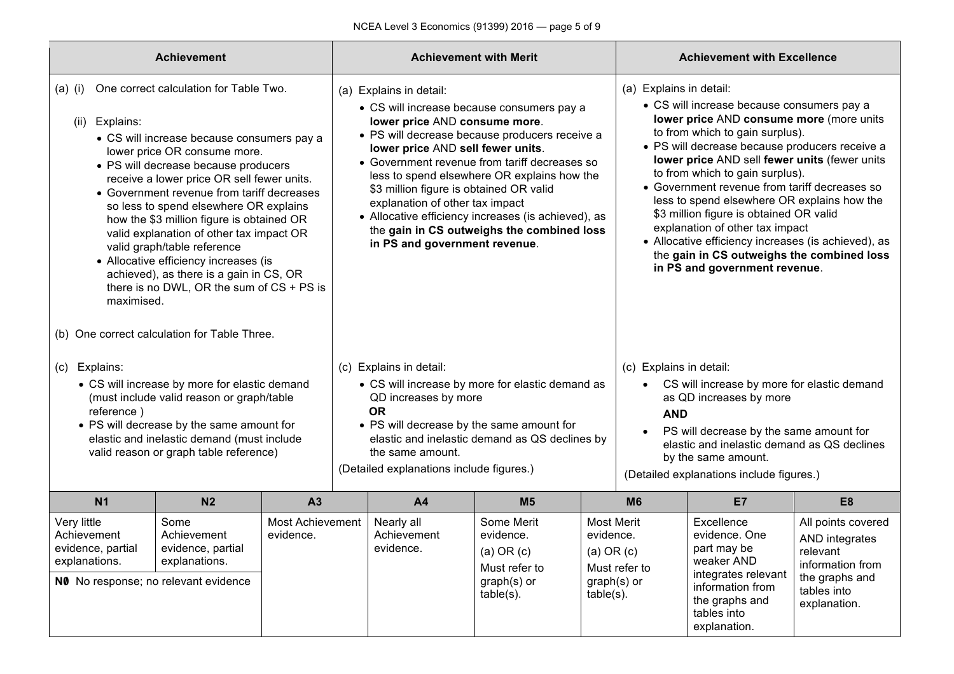| <b>Achievement</b>                                                                                                                                                                                                                                             |                                                                                                                                                                                                                                                                                                                                                                                                                                                                                                                                                                                                             |                               |                                                                                                                                                                                                                 |                                                                                                                                                                                                              | <b>Achievement with Merit</b>                                                                                                                                                                                                                                                                     |                                                                                                                                                      |                                                                                                                                                                                                                                                                                                                                                                                                                                                                                                                                                                                                                | <b>Achievement with Excellence</b>                                                                                                                                                                                                    |  |
|----------------------------------------------------------------------------------------------------------------------------------------------------------------------------------------------------------------------------------------------------------------|-------------------------------------------------------------------------------------------------------------------------------------------------------------------------------------------------------------------------------------------------------------------------------------------------------------------------------------------------------------------------------------------------------------------------------------------------------------------------------------------------------------------------------------------------------------------------------------------------------------|-------------------------------|-----------------------------------------------------------------------------------------------------------------------------------------------------------------------------------------------------------------|--------------------------------------------------------------------------------------------------------------------------------------------------------------------------------------------------------------|---------------------------------------------------------------------------------------------------------------------------------------------------------------------------------------------------------------------------------------------------------------------------------------------------|------------------------------------------------------------------------------------------------------------------------------------------------------|----------------------------------------------------------------------------------------------------------------------------------------------------------------------------------------------------------------------------------------------------------------------------------------------------------------------------------------------------------------------------------------------------------------------------------------------------------------------------------------------------------------------------------------------------------------------------------------------------------------|---------------------------------------------------------------------------------------------------------------------------------------------------------------------------------------------------------------------------------------|--|
| $(a)$ (i)<br>(ii) Explains:<br>maximised.                                                                                                                                                                                                                      | One correct calculation for Table Two.<br>• CS will increase because consumers pay a<br>lower price OR consume more.<br>• PS will decrease because producers<br>receive a lower price OR sell fewer units.<br>• Government revenue from tariff decreases<br>so less to spend elsewhere OR explains<br>how the \$3 million figure is obtained OR<br>valid explanation of other tax impact OR<br>valid graph/table reference<br>• Allocative efficiency increases (is<br>achieved), as there is a gain in CS, OR<br>there is no DWL, OR the sum of CS + PS is<br>(b) One correct calculation for Table Three. |                               |                                                                                                                                                                                                                 | (a) Explains in detail:<br>lower price AND consume more.<br>lower price AND sell fewer units.<br>\$3 million figure is obtained OR valid<br>explanation of other tax impact<br>in PS and government revenue. | • CS will increase because consumers pay a<br>• PS will decrease because producers receive a<br>• Government revenue from tariff decreases so<br>less to spend elsewhere OR explains how the<br>• Allocative efficiency increases (is achieved), as<br>the gain in CS outweighs the combined loss |                                                                                                                                                      | (a) Explains in detail:<br>• CS will increase because consumers pay a<br>lower price AND consume more (more units<br>to from which to gain surplus).<br>• PS will decrease because producers receive a<br>lower price AND sell fewer units (fewer units<br>to from which to gain surplus).<br>• Government revenue from tariff decreases so<br>less to spend elsewhere OR explains how the<br>\$3 million figure is obtained OR valid<br>explanation of other tax impact<br>• Allocative efficiency increases (is achieved), as<br>the gain in CS outweighs the combined loss<br>in PS and government revenue. |                                                                                                                                                                                                                                       |  |
| (c) Explains:<br>• CS will increase by more for elastic demand<br>(must include valid reason or graph/table<br>reference)<br>• PS will decrease by the same amount for<br>elastic and inelastic demand (must include<br>valid reason or graph table reference) |                                                                                                                                                                                                                                                                                                                                                                                                                                                                                                                                                                                                             |                               |                                                                                                                                                                                                                 | (c) Explains in detail:<br>QD increases by more<br><b>OR</b><br>the same amount.<br>(Detailed explanations include figures.)                                                                                 | • CS will increase by more for elastic demand as<br>• PS will decrease by the same amount for<br>elastic and inelastic demand as QS declines by                                                                                                                                                   |                                                                                                                                                      | (c) Explains in detail:<br><b>AND</b><br>$\bullet$                                                                                                                                                                                                                                                                                                                                                                                                                                                                                                                                                             | • CS will increase by more for elastic demand<br>as QD increases by more<br>PS will decrease by the same amount for<br>elastic and inelastic demand as QS declines<br>by the same amount.<br>(Detailed explanations include figures.) |  |
| <b>N1</b>                                                                                                                                                                                                                                                      | N <sub>2</sub>                                                                                                                                                                                                                                                                                                                                                                                                                                                                                                                                                                                              | A <sub>3</sub>                | <b>A4</b><br>M <sub>5</sub>                                                                                                                                                                                     |                                                                                                                                                                                                              |                                                                                                                                                                                                                                                                                                   | <b>M6</b>                                                                                                                                            | E7                                                                                                                                                                                                                                                                                                                                                                                                                                                                                                                                                                                                             | E <sub>8</sub>                                                                                                                                                                                                                        |  |
| Very little<br>Achievement<br>evidence, partial<br>explanations.<br>NO No response; no relevant evidence                                                                                                                                                       | Some<br>Achievement<br>evidence, partial<br>explanations.                                                                                                                                                                                                                                                                                                                                                                                                                                                                                                                                                   | Most Achievement<br>evidence. | Some Merit<br>Nearly all<br>Most Merit<br>Achievement<br>evidence.<br>evidence.<br>evidence.<br>$(a)$ OR $(c)$<br>$(a)$ OR $(c)$<br>Must refer to<br>graph(s) or<br>graph(s) or<br>$table(s)$ .<br>$table(s)$ . |                                                                                                                                                                                                              | Must refer to                                                                                                                                                                                                                                                                                     | Excellence<br>evidence. One<br>part may be<br>weaker AND<br>integrates relevant<br>information from<br>the graphs and<br>tables into<br>explanation. | All points covered<br>AND integrates<br>relevant<br>information from<br>the graphs and<br>tables into<br>explanation.                                                                                                                                                                                                                                                                                                                                                                                                                                                                                          |                                                                                                                                                                                                                                       |  |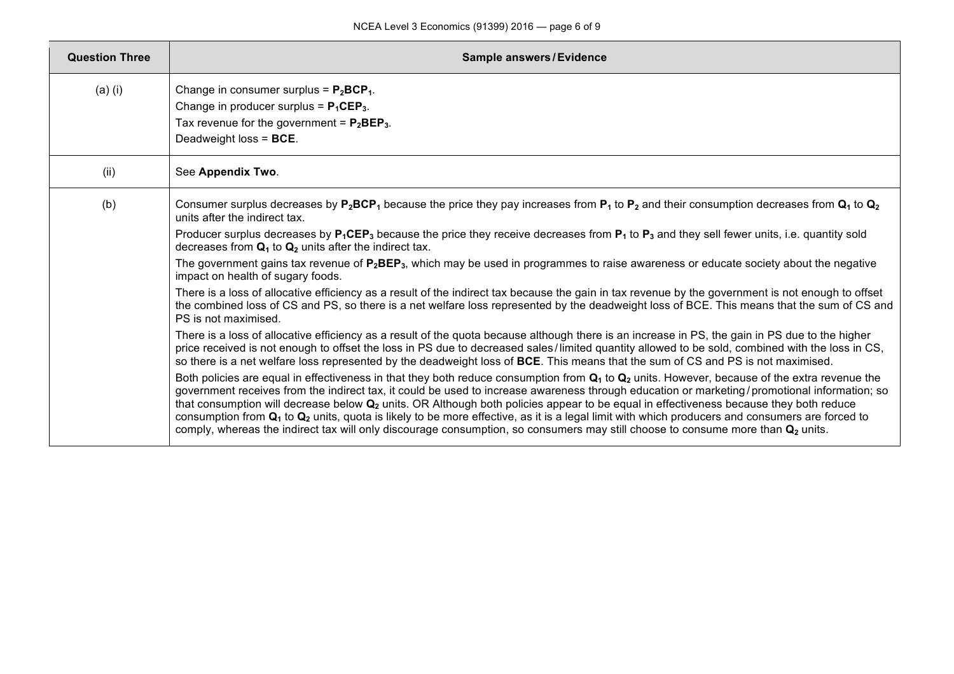| <b>Question Three</b> | <b>Sample answers/Evidence</b>                                                                                                                                                                                                                                                                                                                                                                                                                                                                                                                                                                                                                                                                                                                                                                                                                                                                                                                                                                                                                                                                                                                                                                                                                                                                                                                                                                                                                                                                                                                                                                                                                                                                                                                                                                                                                                                                                                                                                                                                                                                                                                                               |  |  |  |  |  |  |
|-----------------------|--------------------------------------------------------------------------------------------------------------------------------------------------------------------------------------------------------------------------------------------------------------------------------------------------------------------------------------------------------------------------------------------------------------------------------------------------------------------------------------------------------------------------------------------------------------------------------------------------------------------------------------------------------------------------------------------------------------------------------------------------------------------------------------------------------------------------------------------------------------------------------------------------------------------------------------------------------------------------------------------------------------------------------------------------------------------------------------------------------------------------------------------------------------------------------------------------------------------------------------------------------------------------------------------------------------------------------------------------------------------------------------------------------------------------------------------------------------------------------------------------------------------------------------------------------------------------------------------------------------------------------------------------------------------------------------------------------------------------------------------------------------------------------------------------------------------------------------------------------------------------------------------------------------------------------------------------------------------------------------------------------------------------------------------------------------------------------------------------------------------------------------------------------------|--|--|--|--|--|--|
| $(a)$ (i)             | Change in consumer surplus = $P_2BCP_1$ .<br>Change in producer surplus = $P_1CEP_3$ .<br>Tax revenue for the government = $P_2BEP_3$ .<br>Deadweight loss = BCE.                                                                                                                                                                                                                                                                                                                                                                                                                                                                                                                                                                                                                                                                                                                                                                                                                                                                                                                                                                                                                                                                                                                                                                                                                                                                                                                                                                                                                                                                                                                                                                                                                                                                                                                                                                                                                                                                                                                                                                                            |  |  |  |  |  |  |
| (ii)                  | See Appendix Two.                                                                                                                                                                                                                                                                                                                                                                                                                                                                                                                                                                                                                                                                                                                                                                                                                                                                                                                                                                                                                                                                                                                                                                                                                                                                                                                                                                                                                                                                                                                                                                                                                                                                                                                                                                                                                                                                                                                                                                                                                                                                                                                                            |  |  |  |  |  |  |
| (b)                   | Consumer surplus decreases by $P_2BCP_1$ because the price they pay increases from $P_1$ to $P_2$ and their consumption decreases from $Q_1$ to $Q_2$<br>units after the indirect tax.<br>Producer surplus decreases by $P_1CEP_3$ because the price they receive decreases from $P_1$ to $P_3$ and they sell fewer units, i.e. quantity sold<br>decreases from $Q_1$ to $Q_2$ units after the indirect tax.<br>The government gains tax revenue of P <sub>2</sub> BEP <sub>3</sub> , which may be used in programmes to raise awareness or educate society about the negative<br>impact on health of sugary foods.<br>There is a loss of allocative efficiency as a result of the indirect tax because the gain in tax revenue by the government is not enough to offset<br>the combined loss of CS and PS, so there is a net welfare loss represented by the deadweight loss of BCE. This means that the sum of CS and<br>PS is not maximised.<br>There is a loss of allocative efficiency as a result of the quota because although there is an increase in PS, the gain in PS due to the higher<br>price received is not enough to offset the loss in PS due to decreased sales/limited quantity allowed to be sold, combined with the loss in CS,<br>so there is a net welfare loss represented by the deadweight loss of BCE. This means that the sum of CS and PS is not maximised.<br>Both policies are equal in effectiveness in that they both reduce consumption from $Q_1$ to $Q_2$ units. However, because of the extra revenue the<br>government receives from the indirect tax, it could be used to increase awareness through education or marketing/promotional information; so<br>that consumption will decrease below Q <sub>2</sub> units. OR Although both policies appear to be equal in effectiveness because they both reduce<br>consumption from $Q_1$ to $Q_2$ units, quota is likely to be more effective, as it is a legal limit with which producers and consumers are forced to<br>comply, whereas the indirect tax will only discourage consumption, so consumers may still choose to consume more than Q <sub>2</sub> units. |  |  |  |  |  |  |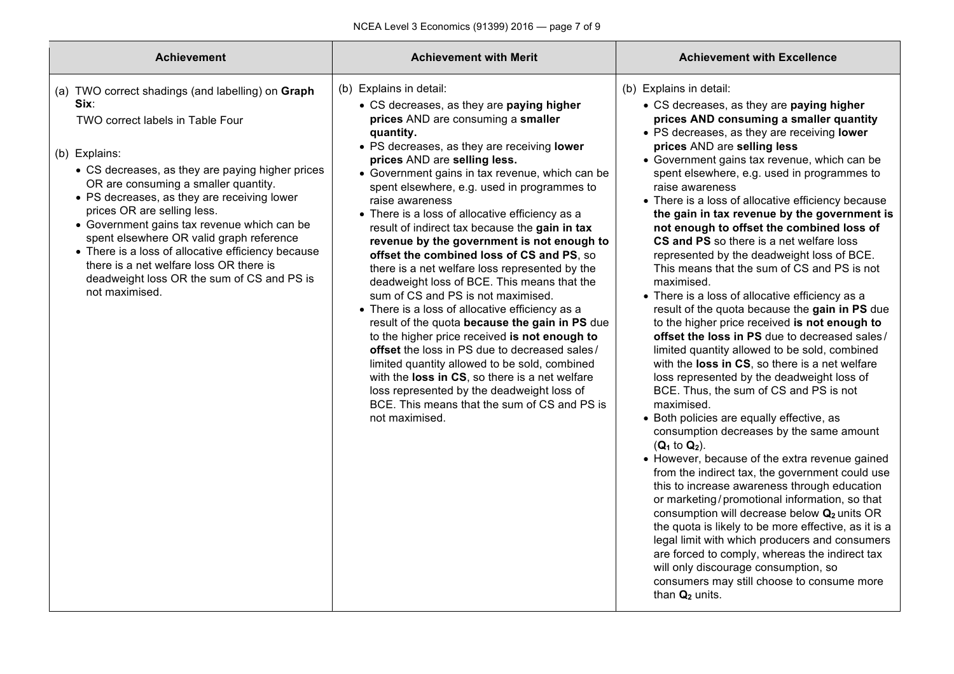| <b>Achievement</b>                                                                                                                                                                                                                                                                                                                                                                                                                                                                                                                                   | <b>Achievement with Merit</b>                                                                                                                                                                                                                                                                                                                                                                                                                                                                                                                                                                                                                                                                                                                                                                                                                                                                                                                                                                                                                                                                | <b>Achievement with Excellence</b>                                                                                                                                                                                                                                                                                                                                                                                                                                                                                                                                                                                                                                                                                                                                                                                                                                                                                                                                                                                                                                                                                                                                                                                                                                                                                                                                                                                                                                                                                                                                                                                                                                                                     |
|------------------------------------------------------------------------------------------------------------------------------------------------------------------------------------------------------------------------------------------------------------------------------------------------------------------------------------------------------------------------------------------------------------------------------------------------------------------------------------------------------------------------------------------------------|----------------------------------------------------------------------------------------------------------------------------------------------------------------------------------------------------------------------------------------------------------------------------------------------------------------------------------------------------------------------------------------------------------------------------------------------------------------------------------------------------------------------------------------------------------------------------------------------------------------------------------------------------------------------------------------------------------------------------------------------------------------------------------------------------------------------------------------------------------------------------------------------------------------------------------------------------------------------------------------------------------------------------------------------------------------------------------------------|--------------------------------------------------------------------------------------------------------------------------------------------------------------------------------------------------------------------------------------------------------------------------------------------------------------------------------------------------------------------------------------------------------------------------------------------------------------------------------------------------------------------------------------------------------------------------------------------------------------------------------------------------------------------------------------------------------------------------------------------------------------------------------------------------------------------------------------------------------------------------------------------------------------------------------------------------------------------------------------------------------------------------------------------------------------------------------------------------------------------------------------------------------------------------------------------------------------------------------------------------------------------------------------------------------------------------------------------------------------------------------------------------------------------------------------------------------------------------------------------------------------------------------------------------------------------------------------------------------------------------------------------------------------------------------------------------------|
| (a) TWO correct shadings (and labelling) on Graph<br>Six:<br>TWO correct labels in Table Four<br>(b) Explains:<br>• CS decreases, as they are paying higher prices<br>OR are consuming a smaller quantity.<br>• PS decreases, as they are receiving lower<br>prices OR are selling less.<br>• Government gains tax revenue which can be<br>spent elsewhere OR valid graph reference<br>• There is a loss of allocative efficiency because<br>there is a net welfare loss OR there is<br>deadweight loss OR the sum of CS and PS is<br>not maximised. | (b) Explains in detail:<br>• CS decreases, as they are paying higher<br>prices AND are consuming a smaller<br>quantity.<br>• PS decreases, as they are receiving lower<br>prices AND are selling less.<br>• Government gains in tax revenue, which can be<br>spent elsewhere, e.g. used in programmes to<br>raise awareness<br>• There is a loss of allocative efficiency as a<br>result of indirect tax because the gain in tax<br>revenue by the government is not enough to<br>offset the combined loss of CS and PS, so<br>there is a net welfare loss represented by the<br>deadweight loss of BCE. This means that the<br>sum of CS and PS is not maximised.<br>• There is a loss of allocative efficiency as a<br>result of the quota because the gain in PS due<br>to the higher price received is not enough to<br>offset the loss in PS due to decreased sales/<br>limited quantity allowed to be sold, combined<br>with the loss in CS, so there is a net welfare<br>loss represented by the deadweight loss of<br>BCE. This means that the sum of CS and PS is<br>not maximised. | (b) Explains in detail:<br>• CS decreases, as they are paying higher<br>prices AND consuming a smaller quantity<br>• PS decreases, as they are receiving lower<br>prices AND are selling less<br>• Government gains tax revenue, which can be<br>spent elsewhere, e.g. used in programmes to<br>raise awareness<br>• There is a loss of allocative efficiency because<br>the gain in tax revenue by the government is<br>not enough to offset the combined loss of<br>CS and PS so there is a net welfare loss<br>represented by the deadweight loss of BCE.<br>This means that the sum of CS and PS is not<br>maximised.<br>• There is a loss of allocative efficiency as a<br>result of the quota because the gain in PS due<br>to the higher price received is not enough to<br>offset the loss in PS due to decreased sales/<br>limited quantity allowed to be sold, combined<br>with the loss in CS, so there is a net welfare<br>loss represented by the deadweight loss of<br>BCE. Thus, the sum of CS and PS is not<br>maximised.<br>• Both policies are equally effective, as<br>consumption decreases by the same amount<br>$(Q_1 \text{ to } Q_2).$<br>• However, because of the extra revenue gained<br>from the indirect tax, the government could use<br>this to increase awareness through education<br>or marketing/promotional information, so that<br>consumption will decrease below Q <sub>2</sub> units OR<br>the quota is likely to be more effective, as it is a<br>legal limit with which producers and consumers<br>are forced to comply, whereas the indirect tax<br>will only discourage consumption, so<br>consumers may still choose to consume more<br>than $Q_2$ units. |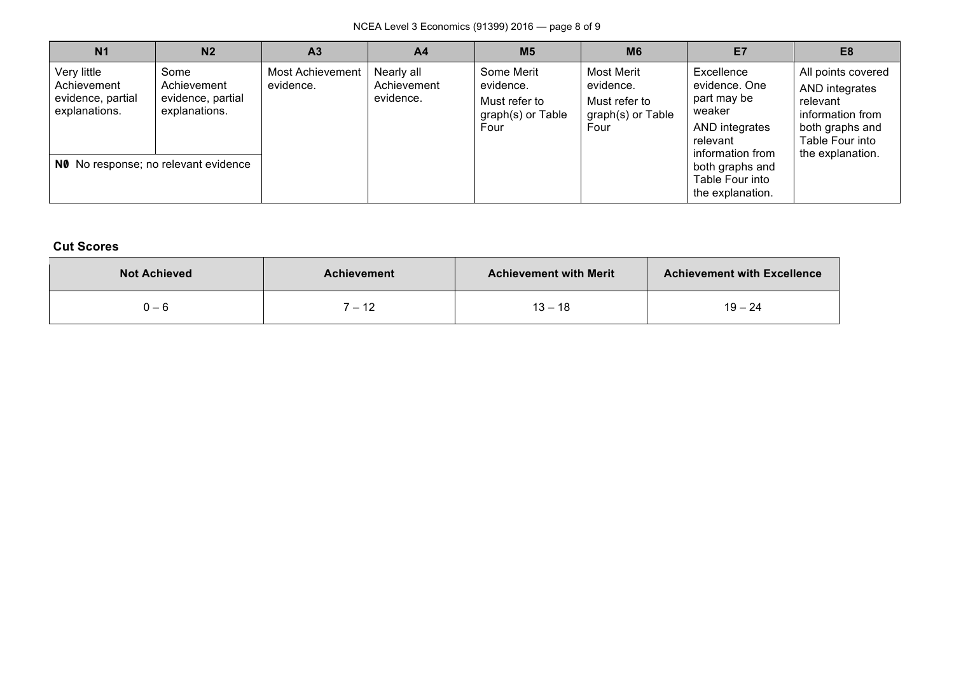NCEA Level 3 Economics (91399) 2016 — page 8 of 9

| N <sub>1</sub>                                                   | N <sub>2</sub>                                                                                    | A <sub>3</sub>                | A <sub>4</sub>                         | M <sub>5</sub>                                                        | <b>M6</b>                                                                    | E7                                                                                                                                                               | E <sub>8</sub>                                                                                                                 |
|------------------------------------------------------------------|---------------------------------------------------------------------------------------------------|-------------------------------|----------------------------------------|-----------------------------------------------------------------------|------------------------------------------------------------------------------|------------------------------------------------------------------------------------------------------------------------------------------------------------------|--------------------------------------------------------------------------------------------------------------------------------|
| Very little<br>Achievement<br>evidence, partial<br>explanations. | Some<br>Achievement<br>evidence, partial<br>explanations.<br>NO No response; no relevant evidence | Most Achievement<br>evidence. | Nearly all<br>Achievement<br>evidence. | Some Merit<br>evidence.<br>Must refer to<br>graph(s) or Table<br>Four | <b>Most Merit</b><br>evidence.<br>Must refer to<br>graph(s) or Table<br>Four | Excellence<br>evidence. One<br>part may be<br>weaker<br>AND integrates<br>relevant<br>information from<br>both graphs and<br>Table Four into<br>the explanation. | All points covered<br>AND integrates<br>relevant<br>information from<br>both graphs and<br>Table Four into<br>the explanation. |

## **Cut Scores**

| <b>Not Achieved</b> | <b>Achievement</b>               | <b>Achievement with Merit</b> | <b>Achievement with Excellence</b> |
|---------------------|----------------------------------|-------------------------------|------------------------------------|
| 0 — 6               | - 10<br>$\overline{\phantom{0}}$ | $13 -$<br>-18                 | $19 - 24$                          |